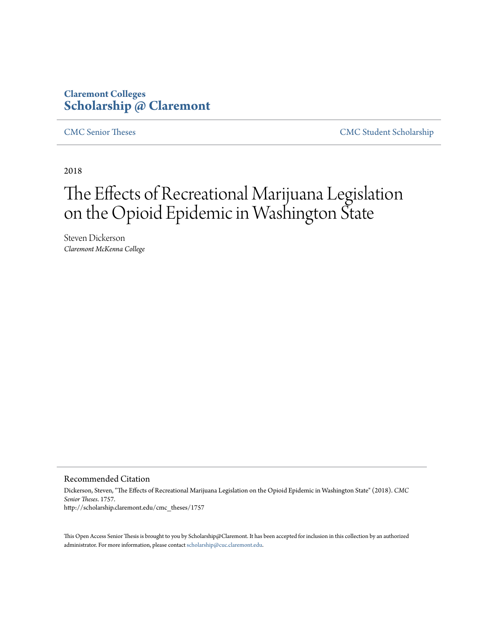### **Claremont Colleges [Scholarship @ Claremont](http://scholarship.claremont.edu)**

[CMC Senior Theses](http://scholarship.claremont.edu/cmc_theses) [CMC Student Scholarship](http://scholarship.claremont.edu/cmc_student)

2018

# The Effects of Recreational Marijuana Legislation on the Opioid Epidemic in Washington State

Steven Dickerson *Claremont McKenna College*

#### Recommended Citation

Dickerson, Steven, "The Effects of Recreational Marijuana Legislation on the Opioid Epidemic in Washington State" (2018). *CMC Senior Theses*. 1757. http://scholarship.claremont.edu/cmc\_theses/1757

This Open Access Senior Thesis is brought to you by Scholarship@Claremont. It has been accepted for inclusion in this collection by an authorized administrator. For more information, please contact [scholarship@cuc.claremont.edu.](mailto:scholarship@cuc.claremont.edu)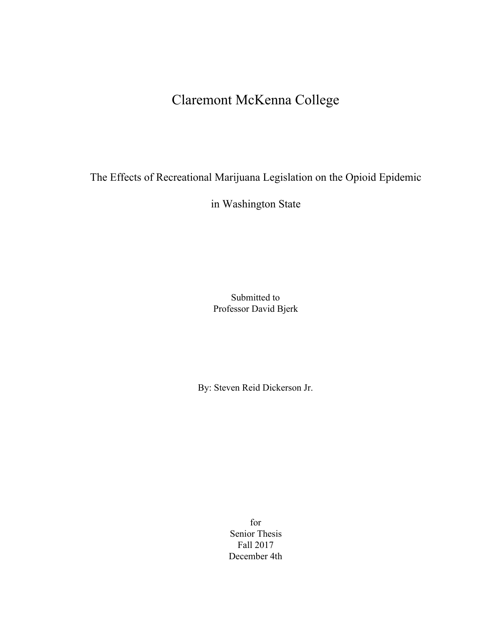### Claremont McKenna College

The Effects of Recreational Marijuana Legislation on the Opioid Epidemic

in Washington State

Submitted to Professor David Bjerk

By: Steven Reid Dickerson Jr.

for Senior Thesis Fall 2017 December 4th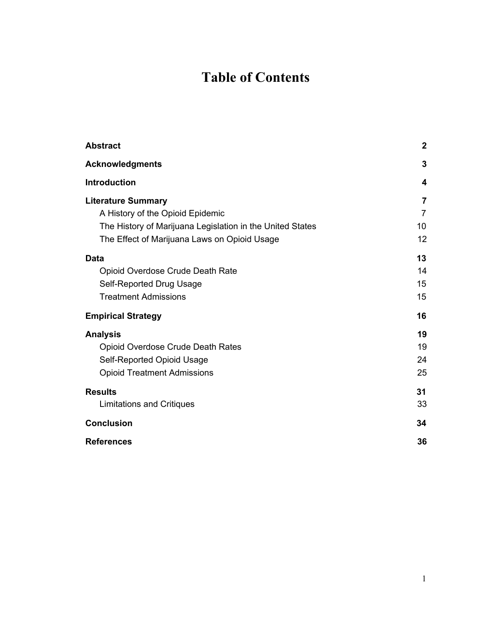## **Table of Contents**

| <b>Abstract</b>                                           | $\boldsymbol{2}$ |
|-----------------------------------------------------------|------------------|
| <b>Acknowledgments</b>                                    | 3                |
| <b>Introduction</b>                                       | 4                |
| <b>Literature Summary</b>                                 | 7                |
| A History of the Opioid Epidemic                          | $\overline{7}$   |
| The History of Marijuana Legislation in the United States | 10               |
| The Effect of Marijuana Laws on Opioid Usage              | 12               |
| <b>Data</b>                                               | 13               |
| Opioid Overdose Crude Death Rate                          | 14               |
| Self-Reported Drug Usage                                  | 15               |
| <b>Treatment Admissions</b>                               | 15               |
| <b>Empirical Strategy</b>                                 | 16               |
| <b>Analysis</b>                                           | 19               |
| Opioid Overdose Crude Death Rates                         | 19               |
| Self-Reported Opioid Usage                                | 24               |
| <b>Opioid Treatment Admissions</b>                        | 25               |
| <b>Results</b>                                            | 31               |
| Limitations and Critiques                                 | 33               |
| <b>Conclusion</b>                                         | 34               |
| <b>References</b>                                         | 36               |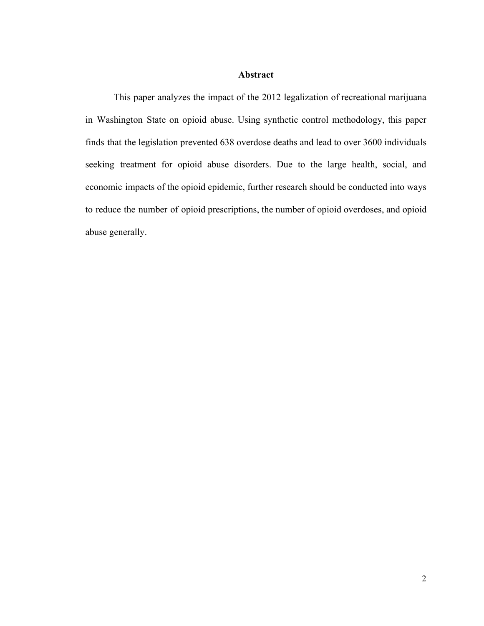#### **Abstract**

<span id="page-3-0"></span>This paper analyzes the impact of the 2012 legalization of recreational marijuana in Washington State on opioid abuse. Using synthetic control methodology, this paper finds that the legislation prevented 638 overdose deaths and lead to over 3600 individuals seeking treatment for opioid abuse disorders. Due to the large health, social, and economic impacts of the opioid epidemic, further research should be conducted into ways to reduce the number of opioid prescriptions, the number of opioid overdoses, and opioid abuse generally.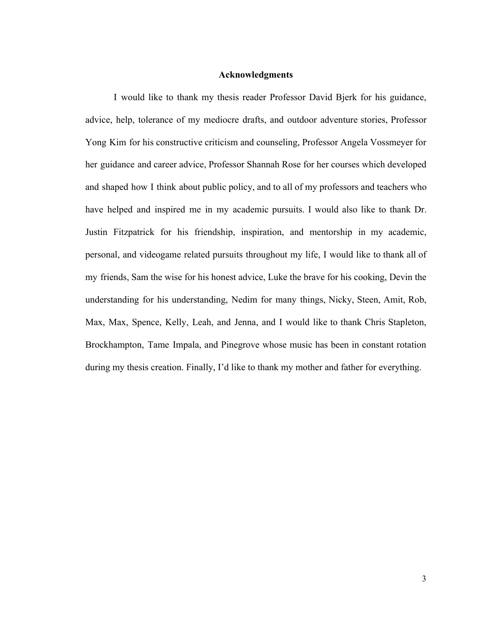#### **Acknowledgments**

<span id="page-4-0"></span>I would like to thank my thesis reader Professor David Bjerk for his guidance, advice, help, tolerance of my mediocre drafts, and outdoor adventure stories, Professor Yong Kim for his constructive criticism and counseling, Professor Angela Vossmeyer for her guidance and career advice, Professor Shannah Rose for her courses which developed and shaped how I think about public policy, and to all of my professors and teachers who have helped and inspired me in my academic pursuits. I would also like to thank Dr. Justin Fitzpatrick for his friendship, inspiration, and mentorship in my academic, personal, and videogame related pursuits throughout my life, I would like to thank all of my friends, Sam the wise for his honest advice, Luke the brave for his cooking, Devin the understanding for his understanding, Nedim for many things, Nicky, Steen, Amit, Rob, Max, Max, Spence, Kelly, Leah, and Jenna, and I would like to thank Chris Stapleton, Brockhampton, Tame Impala, and Pinegrove whose music has been in constant rotation during my thesis creation. Finally, I'd like to thank my mother and father for everything.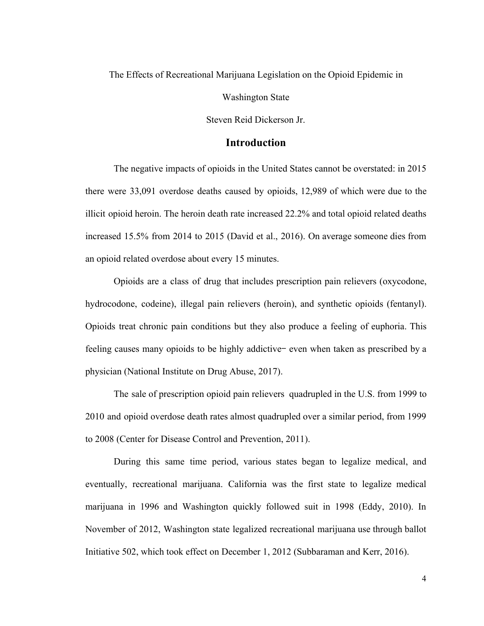The Effects of Recreational Marijuana Legislation on the Opioid Epidemic in

Washington State

Steven Reid Dickerson Jr.

#### **Introduction**

<span id="page-5-0"></span>The negative impacts of opioids in the United States cannot be overstated: in 2015 there were 33,091 overdose deaths caused by opioids, 12,989 of which were due to the illicit opioid heroin. The heroin death rate increased 22.2% and total opioid related deaths increased 15.5% from 2014 to 2015 (David et al., 2016). On average someone dies from an opioid related overdose about every 15 minutes.

Opioids are a class of drug that includes prescription pain relievers (oxycodone, hydrocodone, codeine), illegal pain relievers (heroin), and synthetic opioids (fentanyl). Opioids treat chronic pain conditions but they also produce a feeling of euphoria. This feeling causes many opioids to be highly addictive— even when taken as prescribed by a physician (National Institute on Drug Abuse, 2017).

The sale of prescription opioid pain relievers quadrupled in the U.S. from 1999 to 2010 and opioid overdose death rates almost quadrupled over a similar period, from 1999 to 2008 (Center for Disease Control and Prevention, 2011).

During this same time period, various states began to legalize medical, and eventually, recreational marijuana. California was the first state to legalize medical marijuana in 1996 and Washington quickly followed suit in 1998 (Eddy, 2010). In November of 2012, Washington state legalized recreational marijuana use through ballot Initiative 502, which took effect on December 1, 2012 (Subbaraman and Kerr, 2016).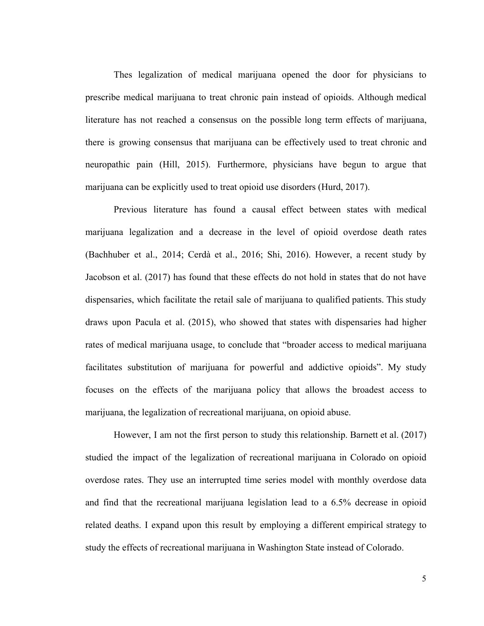Thes legalization of medical marijuana opened the door for physicians to prescribe medical marijuana to treat chronic pain instead of opioids. Although medical literature has not reached a consensus on the possible long term effects of marijuana, there is growing consensus that marijuana can be effectively used to treat chronic and neuropathic pain (Hill, 2015). Furthermore, physicians have begun to argue that marijuana can be explicitly used to treat opioid use disorders (Hurd, 2017).

Previous literature has found a causal effect between states with medical marijuana legalization and a decrease in the level of opioid overdose death rates (Bachhuber et al., 2014; Cer[dà](https://www.ncbi.nlm.nih.gov/pubmed/?term=Cerd%26%23x000e0%3B%20M%5BAuthor%5D&cauthor=true&cauthor_uid=27631755) et al., 2016; Shi, 2016). However, a recent study by Jacobson et al. (2017) has found that these effects do not hold in states that do not have dispensaries, which facilitate the retail sale of marijuana to qualified patients. This study draws upon Pacula et al. (2015), who showed that states with dispensaries had higher rates of medical marijuana usage, to conclude that "broader access to medical marijuana facilitates substitution of marijuana for powerful and addictive opioids". My study focuses on the effects of the marijuana policy that allows the broadest access to marijuana, the legalization of recreational marijuana, on opioid abuse.

However, I am not the first person to study this relationship. Barnett et al. (2017) studied the impact of the legalization of recreational marijuana in Colorado on opioid overdose rates. They use an interrupted time series model with monthly overdose data and find that the recreational marijuana legislation lead to a 6.5% decrease in opioid related deaths. I expand upon this result by employing a different empirical strategy to study the effects of recreational marijuana in Washington State instead of Colorado.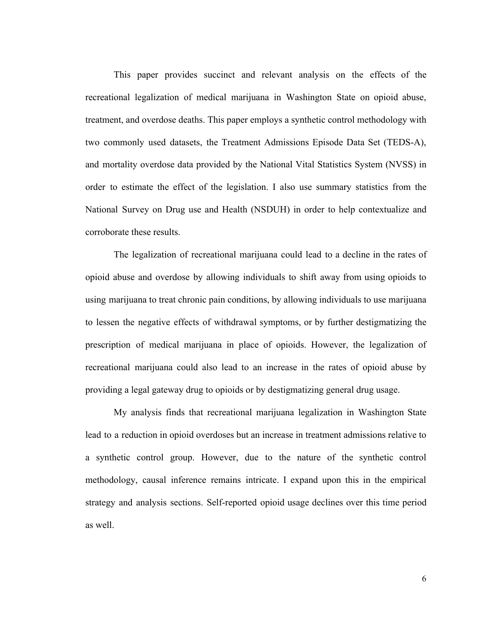This paper provides succinct and relevant analysis on the effects of the recreational legalization of medical marijuana in Washington State on opioid abuse, treatment, and overdose deaths. This paper employs a synthetic control methodology with two commonly used datasets, the Treatment Admissions Episode Data Set (TEDS-A), and mortality overdose data provided by the National Vital Statistics System (NVSS) in order to estimate the effect of the legislation. I also use summary statistics from the National Survey on Drug use and Health (NSDUH) in order to help contextualize and corroborate these results.

The legalization of recreational marijuana could lead to a decline in the rates of opioid abuse and overdose by allowing individuals to shift away from using opioids to using marijuana to treat chronic pain conditions, by allowing individuals to use marijuana to lessen the negative effects of withdrawal symptoms, or by further destigmatizing the prescription of medical marijuana in place of opioids. However, the legalization of recreational marijuana could also lead to an increase in the rates of opioid abuse by providing a legal gateway drug to opioids or by destigmatizing general drug usage.

My analysis finds that recreational marijuana legalization in Washington State lead to a reduction in opioid overdoses but an increase in treatment admissions relative to a synthetic control group. However, due to the nature of the synthetic control methodology, causal inference remains intricate. I expand upon this in the empirical strategy and analysis sections. Self-reported opioid usage declines over this time period as well.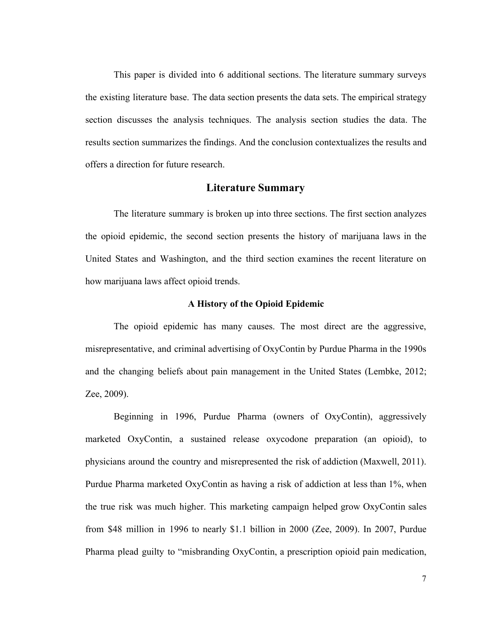This paper is divided into 6 additional sections. The literature summary surveys the existing literature base. The data section presents the data sets. The empirical strategy section discusses the analysis techniques. The analysis section studies the data. The results section summarizes the findings. And the conclusion contextualizes the results and offers a direction for future research.

#### **Literature Summary**

<span id="page-8-0"></span>The literature summary is broken up into three sections. The first section analyzes the opioid epidemic, the second section presents the history of marijuana laws in the United States and Washington, and the third section examines the recent literature on how marijuana laws affect opioid trends.

#### **A History of the Opioid Epidemic**

<span id="page-8-1"></span>The opioid epidemic has many causes. The most direct are the aggressive, misrepresentative, and criminal advertising of OxyContin by Purdue Pharma in the 1990s and the changing beliefs about pain management in the United States (Lembke, 2012; Zee, 2009).

Beginning in 1996, Purdue Pharma (owners of OxyContin), aggressively marketed OxyContin, a sustained release oxycodone preparation (an opioid), to physicians around the country and misrepresented the risk of addiction (Maxwell, 2011). Purdue Pharma marketed OxyContin as having a risk of addiction at less than 1%, when the true risk was much higher. This marketing campaign helped grow OxyContin sales from \$48 million in 1996 to nearly \$1.1 billion in 2000 (Zee, 2009). In 2007, Purdue Pharma plead guilty to "misbranding OxyContin, a prescription opioid pain medication,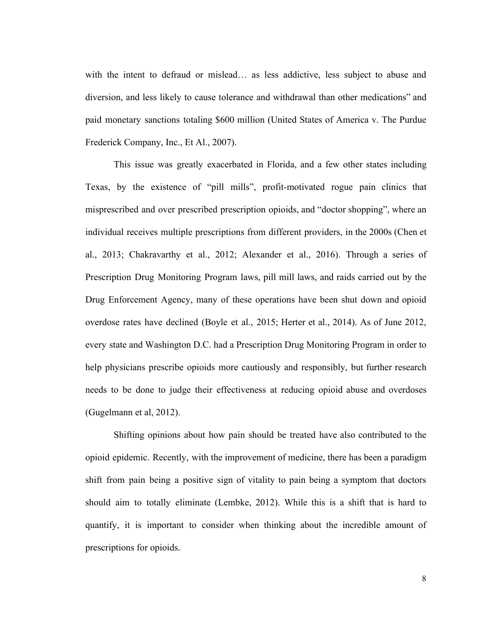with the intent to defraud or mislead… as less addictive, less subject to abuse and diversion, and less likely to cause tolerance and withdrawal than other medications" and paid monetary sanctions totaling \$600 million (United States of America v. The Purdue Frederick Company, Inc., Et Al., 2007).

This issue was greatly exacerbated in Florida, and a few other states including Texas, by the existence of "pill mills", profit-motivated rogue pain clinics that misprescribed and over prescribed prescription opioids, and "doctor shopping", where an individual receives multiple prescriptions from different providers, in the 2000s (Chen et al., 2013; Chakravarthy et al., 2012; Alexander et al., 2016). Through a series of Prescription Drug Monitoring Program laws, pill mill laws, and raids carried out by the Drug Enforcement Agency, many of these operations have been shut down and opioid overdose rates have declined (Boyle et al., 2015; Herter et al., 2014). As of June 2012, every state and Washington D.C. had a Prescription Drug Monitoring Program in order to help physicians prescribe opioids more cautiously and responsibly, but further research needs to be done to judge their effectiveness at reducing opioid abuse and overdoses (Gugelmann et al, 2012).

Shifting opinions about how pain should be treated have also contributed to the opioid epidemic. Recently, with the improvement of medicine, there has been a paradigm shift from pain being a positive sign of vitality to pain being a symptom that doctors should aim to totally eliminate (Lembke, 2012). While this is a shift that is hard to quantify, it is important to consider when thinking about the incredible amount of prescriptions for opioids.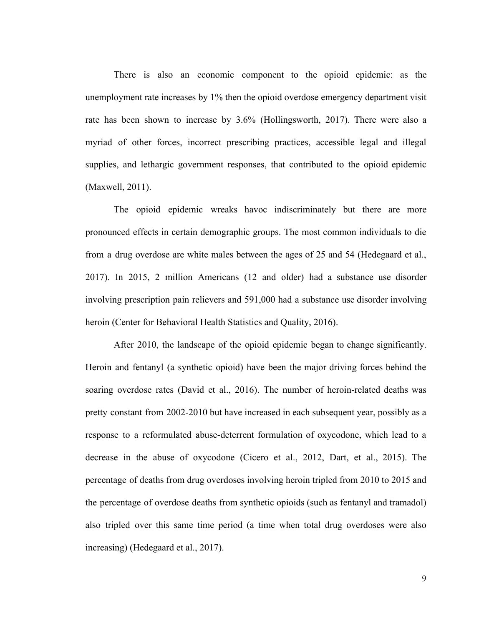There is also an economic component to the opioid epidemic: as the unemployment rate increases by 1% then the opioid overdose emergency department visit rate has been shown to increase by 3.6% (Hollingsworth, 2017). There were also a myriad of other forces, incorrect prescribing practices, accessible legal and illegal supplies, and lethargic government responses, that contributed to the opioid epidemic (Maxwell, 2011).

The opioid epidemic wreaks havoc indiscriminately but there are more pronounced effects in certain demographic groups. The most common individuals to die from a drug overdose are white males between the ages of 25 and 54 (Hedegaard et al., 2017). In 2015, 2 million Americans (12 and older) had a substance use disorder involving prescription pain relievers and 591,000 had a substance use disorder involving heroin (Center for Behavioral Health Statistics and Quality, 2016).

After 2010, the landscape of the opioid epidemic began to change significantly. Heroin and fentanyl (a synthetic opioid) have been the major driving forces behind the soaring overdose rates (David et al., 2016). The number of heroin-related deaths was pretty constant from 2002-2010 but have increased in each subsequent year, possibly as a response to a reformulated abuse-deterrent formulation of oxycodone, which lead to a decrease in the abuse of oxycodone (Cicero et al., 2012, Dart, et al., 2015). The percentage of deaths from drug overdoses involving heroin tripled from 2010 to 2015 and the percentage of overdose deaths from synthetic opioids (such as fentanyl and tramadol) also tripled over this same time period (a time when total drug overdoses were also increasing) (Hedegaard et al., 2017).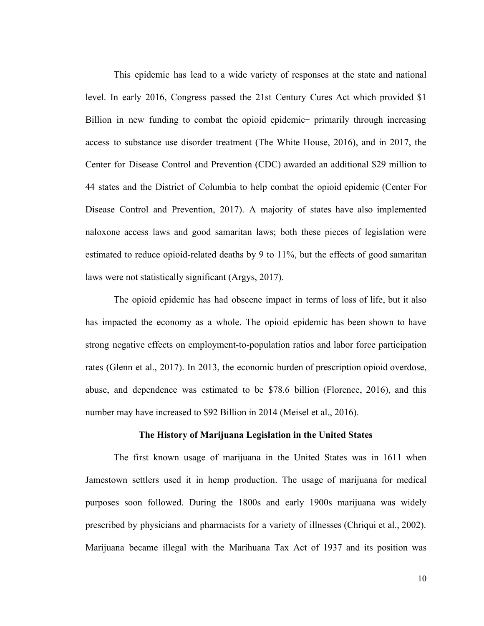This epidemic has lead to a wide variety of responses at the state and national level. In early 2016, Congress passed the 21st Century Cures Act which provided \$1 Billion in new funding to combat the opioid epidemic- primarily through increasing access to substance use disorder treatment (The White House, 2016), and in 2017, the Center for Disease Control and Prevention (CDC) awarded an additional \$29 million to 44 states and the District of Columbia to help combat the opioid epidemic (Center For Disease Control and Prevention, 2017). A majority of states have also implemented naloxone access laws and good samaritan laws; both these pieces of legislation were estimated to reduce opioid-related deaths by 9 to 11%, but the effects of good samaritan laws were not statistically significant (Argys, 2017).

The opioid epidemic has had obscene impact in terms of loss of life, but it also has impacted the economy as a whole. The opioid epidemic has been shown to have strong negative effects on employment-to-population ratios and labor force participation rates (Glenn et al., 2017). In 2013, the economic burden of prescription opioid overdose, abuse, and dependence was estimated to be \$78.6 billion (Florence, 2016), and this number may have increased to \$92 Billion in 2014 (Meisel et al., 2016).

#### **The History of Marijuana Legislation in the United States**

<span id="page-11-0"></span>The first known usage of marijuana in the United States was in 1611 when Jamestown settlers used it in hemp production. The usage of marijuana for medical purposes soon followed. During the 1800s and early 1900s marijuana was widely prescribed by physicians and pharmacists for a variety of illnesses (Chriqui et al., 2002). Marijuana became illegal with the Marihuana Tax Act of 1937 and its position was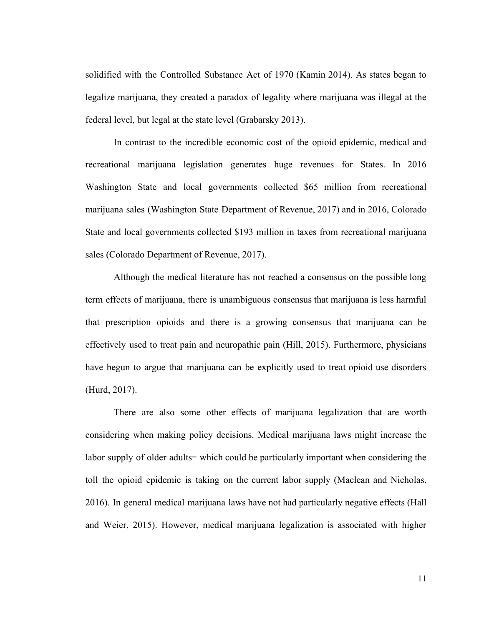solidified with the Controlled Substance Act of 1970 (Kamin 2014). As states began to legalize marijuana, they created a paradox of legality where marijuana was illegal at the federal level, but legal at the state level (Grabarsky 2013).

In contrast to the incredible economic cost of the opioid epidemic, medical and recreational marijuana legislation generates huge revenues for States. In 2016 Washington State and local governments collected \$65 million from recreational marijuana sales (Washington State Department of Revenue, 2017) and in 2016, Colorado State and local governments collected \$193 million in taxes from recreational marijuana sales (Colorado Department of Revenue, 2017).

Although the medical literature has not reached a consensus on the possible long term effects of marijuana, there is unambiguous consensus that marijuana is less harmful that prescription opioids and there is a growing consensus that marijuana can be effectively used to treat pain and neuropathic pain (Hill, 2015). Furthermore, physicians have begun to argue that marijuana can be explicitly used to treat opioid use disorders (Hurd, 2017).

There are also some other effects of marijuana legalization that are worth considering when making policy decisions. Medical marijuana laws might increase the labor supply of older adults— which could be particularly important when considering the toll the opioid epidemic is taking on the current labor supply (Maclean and Nicholas, 2016). In general medical marijuana laws have not had particularly negative effects (Hall and Weier, 2015). However, medical marijuana legalization is associated with higher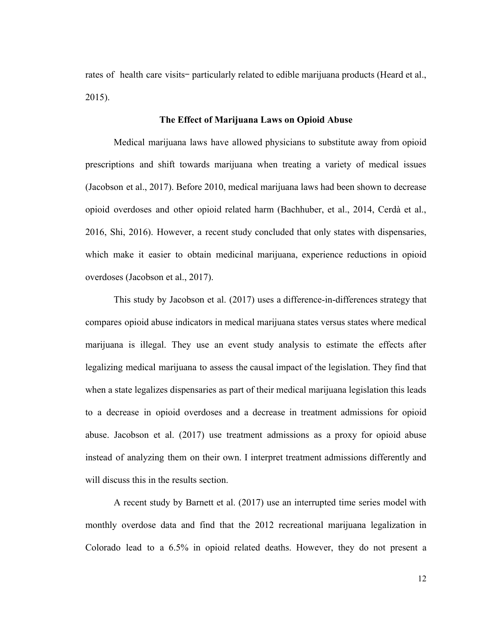rates of health care visits– particularly related to edible marijuana products (Heard et al., 2015).

#### **The Effect of Marijuana Laws on Opioid Abuse**

<span id="page-13-0"></span>Medical marijuana laws have allowed physicians to substitute away from opioid prescriptions and shift towards marijuana when treating a variety of medical issues (Jacobson et al., 2017). Before 2010, medical marijuana laws had been shown to decrease opioid overdoses and other opioid related harm (Bachhuber, et al., 2014, Cerd[à](https://www.ncbi.nlm.nih.gov/pubmed/?term=Cerd%26%23x000e0%3B%20M%5BAuthor%5D&cauthor=true&cauthor_uid=27631755) et al., 2016, Shi, 2016). However, a recent study concluded that only states with dispensaries, which make it easier to obtain medicinal marijuana, experience reductions in opioid overdoses (Jacobson et al., 2017).

This study by Jacobson et al. (2017) uses a difference-in-differences strategy that compares opioid abuse indicators in medical marijuana states versus states where medical marijuana is illegal. They use an event study analysis to estimate the effects after legalizing medical marijuana to assess the causal impact of the legislation. They find that when a state legalizes dispensaries as part of their medical marijuana legislation this leads to a decrease in opioid overdoses and a decrease in treatment admissions for opioid abuse. Jacobson et al. (2017) use treatment admissions as a proxy for opioid abuse instead of analyzing them on their own. I interpret treatment admissions differently and will discuss this in the results section.

A recent study by Barnett et al. (2017) use an interrupted time series model with monthly overdose data and find that the 2012 recreational marijuana legalization in Colorado lead to a 6.5% in opioid related deaths. However, they do not present a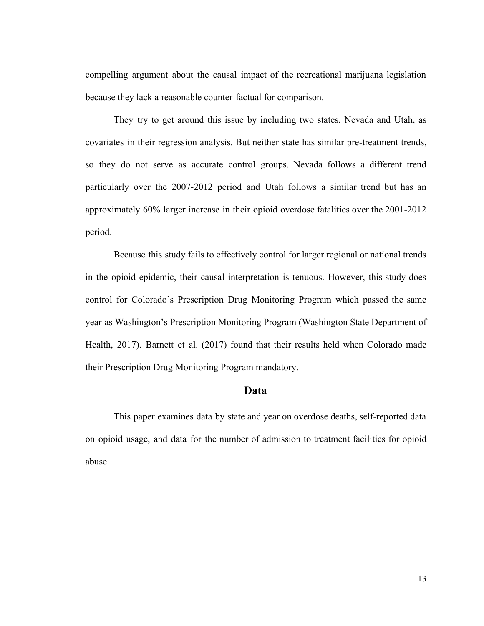compelling argument about the causal impact of the recreational marijuana legislation because they lack a reasonable counter-factual for comparison.

They try to get around this issue by including two states, Nevada and Utah, as covariates in their regression analysis. But neither state has similar pre-treatment trends, so they do not serve as accurate control groups. Nevada follows a different trend particularly over the 2007-2012 period and Utah follows a similar trend but has an approximately 60% larger increase in their opioid overdose fatalities over the 2001-2012 period.

Because this study fails to effectively control for larger regional or national trends in the opioid epidemic, their causal interpretation is tenuous. However, this study does control for Colorado's Prescription Drug Monitoring Program which passed the same year as Washington's Prescription Monitoring Program (Washington State Department of Health, 2017). Barnett et al. (2017) found that their results held when Colorado made their Prescription Drug Monitoring Program mandatory.

#### **Data**

<span id="page-14-0"></span>This paper examines data by state and year on overdose deaths, self-reported data on opioid usage, and data for the number of admission to treatment facilities for opioid abuse.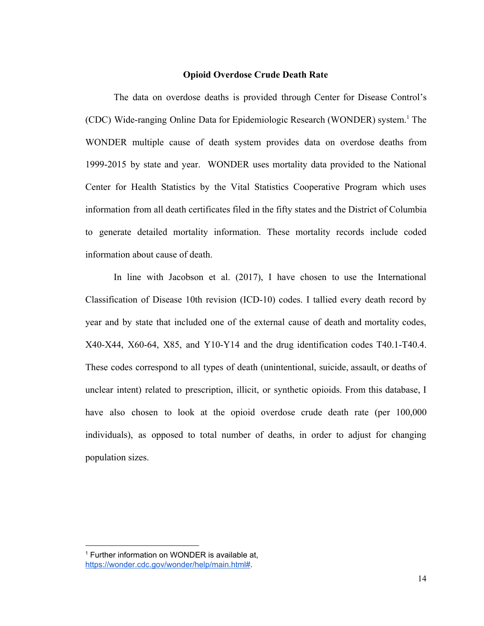#### **Opioid Overdose Crude Death Rate**

<span id="page-15-0"></span>The data on overdose deaths is provided through Center for Disease Control's (CDC) Wide-ranging Online Data for Epidemiologic Research (WONDER) system. The <sup>1</sup> WONDER multiple cause of death system provides data on overdose deaths from 1999-2015 by state and year. WONDER uses mortality data provided to the National Center for Health Statistics by the Vital Statistics Cooperative Program which uses information from all death certificates filed in the fifty states and the District of Columbia to generate detailed mortality information. These mortality records include coded information about cause of death.

In line with Jacobson et al. (2017), I have chosen to use the International Classification of Disease 10th revision (ICD-10) codes. I tallied every death record by year and by state that included one of the external cause of death and mortality codes, X40-X44, X60-64, X85, and Y10-Y14 and the drug identification codes T40.1-T40.4. These codes correspond to all types of death (unintentional, suicide, assault, or deaths of unclear intent) related to prescription, illicit, or synthetic opioids. From this database, I have also chosen to look at the opioid overdose crude death rate (per 100,000 individuals), as opposed to total number of deaths, in order to adjust for changing population sizes.

<sup>&</sup>lt;sup>1</sup> Further information on WONDER is available at, [https://wonder.cdc.gov/wonder/help/main.html#.](https://wonder.cdc.gov/wonder/help/main.html#)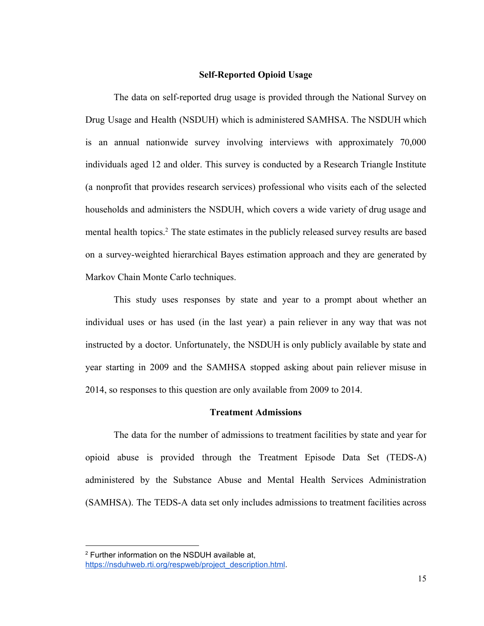#### **Self-Reported Opioid Usage**

<span id="page-16-0"></span>The data on self-reported drug usage is provided through the National Survey on Drug Usage and Health (NSDUH) which is administered SAMHSA. The NSDUH which is an annual nationwide survey involving interviews with approximately 70,000 individuals aged 12 and older. This survey is conducted by a Research Triangle Institute (a nonprofit that provides research services) professional who visits each of the selected households and administers the NSDUH, which covers a wide variety of drug usage and mental health topics.<sup>2</sup> The state estimates in the publicly released survey results are based on a survey-weighted hierarchical Bayes estimation approach and they are generated by Markov Chain Monte Carlo techniques.

This study uses responses by state and year to a prompt about whether an individual uses or has used (in the last year) a pain reliever in any way that was not instructed by a doctor. Unfortunately, the NSDUH is only publicly available by state and year starting in 2009 and the SAMHSA stopped asking about pain reliever misuse in 2014, so responses to this question are only available from 2009 to 2014.

#### **Treatment Admissions**

<span id="page-16-1"></span>The data for the number of admissions to treatment facilities by state and year for opioid abuse is provided through the Treatment Episode Data Set (TEDS-A) administered by the Substance Abuse and Mental Health Services Administration (SAMHSA). The TEDS-A data set only includes admissions to treatment facilities across

<sup>2</sup> Further information on the NSDUH available at, [https://nsduhweb.rti.org/respweb/project\\_description.html.](https://nsduhweb.rti.org/respweb/project_description.html)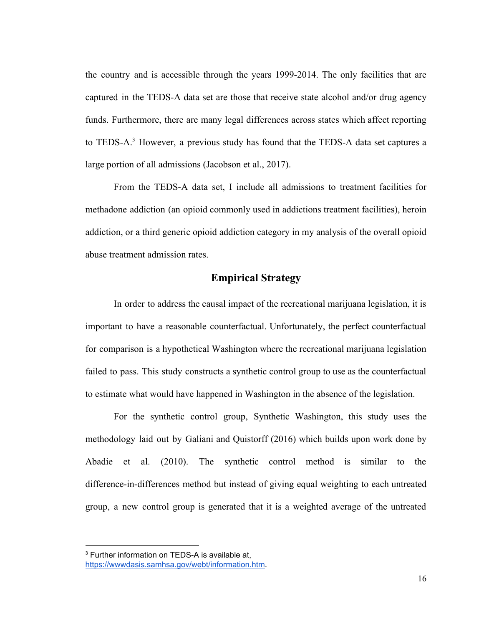the country and is accessible through the years 1999-2014. The only facilities that are captured in the TEDS-A data set are those that receive state alcohol and/or drug agency funds. Furthermore, there are many legal differences across states which affect reporting to TEDS-A.<sup>3</sup> However, a previous study has found that the TEDS-A data set captures a large portion of all admissions (Jacobson et al., 2017).

From the TEDS-A data set, I include all admissions to treatment facilities for methadone addiction (an opioid commonly used in addictions treatment facilities), heroin addiction, or a third generic opioid addiction category in my analysis of the overall opioid abuse treatment admission rates.

#### **Empirical Strategy**

<span id="page-17-0"></span>In order to address the causal impact of the recreational marijuana legislation, it is important to have a reasonable counterfactual. Unfortunately, the perfect counterfactual for comparison is a hypothetical Washington where the recreational marijuana legislation failed to pass. This study constructs a synthetic control group to use as the counterfactual to estimate what would have happened in Washington in the absence of the legislation.

For the synthetic control group, Synthetic Washington, this study uses the methodology laid out by Galiani and Quistorff (2016) which builds upon work done by Abadie et al. (2010). The synthetic control method is similar to the difference-in-differences method but instead of giving equal weighting to each untreated group, a new control group is generated that it is a weighted average of the untreated

<sup>&</sup>lt;sup>3</sup> Further information on TEDS-A is available at,

<https://wwwdasis.samhsa.gov/webt/information.htm>.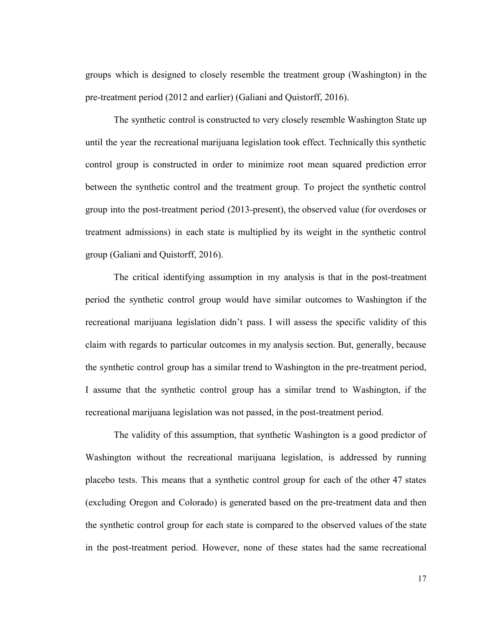groups which is designed to closely resemble the treatment group (Washington) in the pre-treatment period (2012 and earlier) (Galiani and Quistorff, 2016).

The synthetic control is constructed to very closely resemble Washington State up until the year the recreational marijuana legislation took effect. Technically this synthetic control group is constructed in order to minimize root mean squared prediction error between the synthetic control and the treatment group. To project the synthetic control group into the post-treatment period (2013-present), the observed value (for overdoses or treatment admissions) in each state is multiplied by its weight in the synthetic control group (Galiani and Quistorff, 2016).

The critical identifying assumption in my analysis is that in the post-treatment period the synthetic control group would have similar outcomes to Washington if the recreational marijuana legislation didn't pass. I will assess the specific validity of this claim with regards to particular outcomes in my analysis section. But, generally, because the synthetic control group has a similar trend to Washington in the pre-treatment period, I assume that the synthetic control group has a similar trend to Washington, if the recreational marijuana legislation was not passed, in the post-treatment period.

The validity of this assumption, that synthetic Washington is a good predictor of Washington without the recreational marijuana legislation, is addressed by running placebo tests. This means that a synthetic control group for each of the other 47 states (excluding Oregon and Colorado) is generated based on the pre-treatment data and then the synthetic control group for each state is compared to the observed values of the state in the post-treatment period. However, none of these states had the same recreational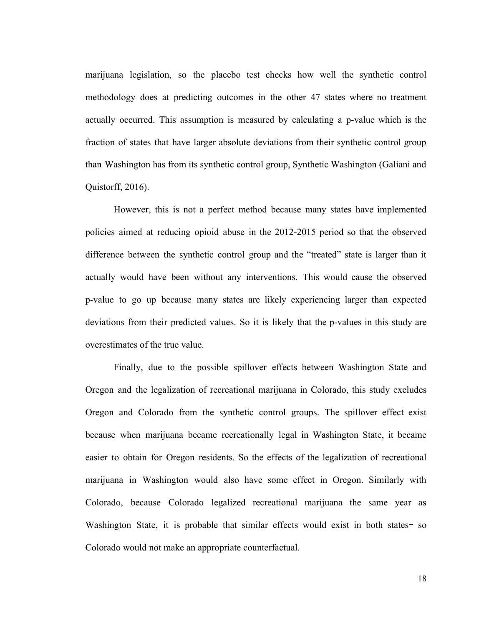marijuana legislation, so the placebo test checks how well the synthetic control methodology does at predicting outcomes in the other 47 states where no treatment actually occurred. This assumption is measured by calculating a p-value which is the fraction of states that have larger absolute deviations from their synthetic control group than Washington has from its synthetic control group, Synthetic Washington (Galiani and Quistorff, 2016).

However, this is not a perfect method because many states have implemented policies aimed at reducing opioid abuse in the 2012-2015 period so that the observed difference between the synthetic control group and the "treated" state is larger than it actually would have been without any interventions. This would cause the observed p-value to go up because many states are likely experiencing larger than expected deviations from their predicted values. So it is likely that the p-values in this study are overestimates of the true value.

Finally, due to the possible spillover effects between Washington State and Oregon and the legalization of recreational marijuana in Colorado, this study excludes Oregon and Colorado from the synthetic control groups. The spillover effect exist because when marijuana became recreationally legal in Washington State, it became easier to obtain for Oregon residents. So the effects of the legalization of recreational marijuana in Washington would also have some effect in Oregon. Similarly with Colorado, because Colorado legalized recreational marijuana the same year as Washington State, it is probable that similar effects would exist in both states-so Colorado would not make an appropriate counterfactual.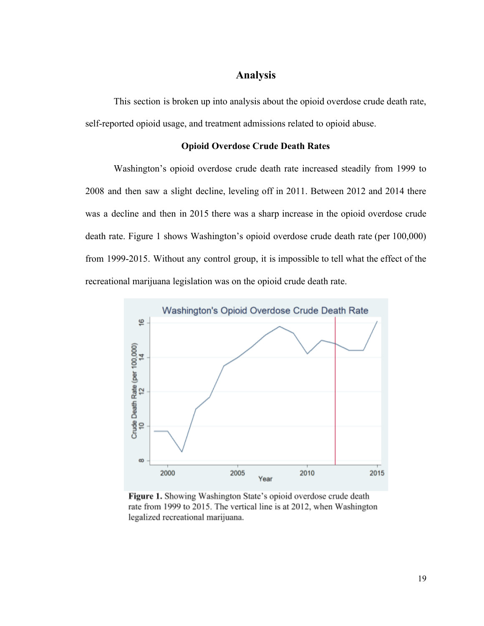#### **Analysis**

<span id="page-20-0"></span>This section is broken up into analysis about the opioid overdose crude death rate, self-reported opioid usage, and treatment admissions related to opioid abuse.

#### **Opioid Overdose Crude Death Rates**

<span id="page-20-1"></span>Washington's opioid overdose crude death rate increased steadily from 1999 to 2008 and then saw a slight decline, leveling off in 2011. Between 2012 and 2014 there was a decline and then in 2015 there was a sharp increase in the opioid overdose crude death rate. Figure 1 shows Washington's opioid overdose crude death rate (per 100,000) from 1999-2015. Without any control group, it is impossible to tell what the effect of the recreational marijuana legislation was on the opioid crude death rate.



Figure 1. Showing Washington State's opioid overdose crude death rate from 1999 to 2015. The vertical line is at 2012, when Washington legalized recreational marijuana.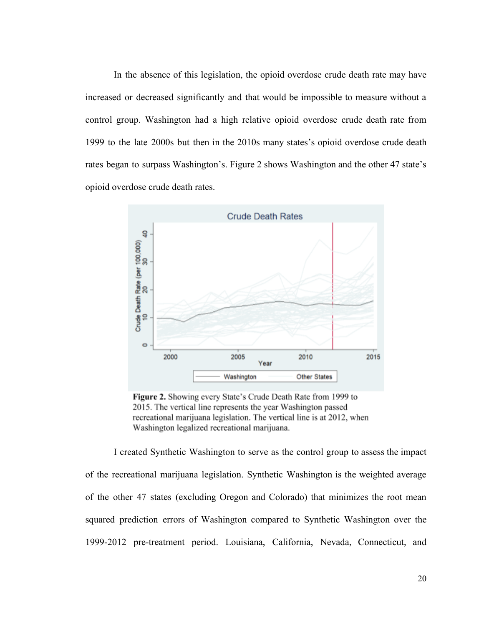In the absence of this legislation, the opioid overdose crude death rate may have increased or decreased significantly and that would be impossible to measure without a control group. Washington had a high relative opioid overdose crude death rate from 1999 to the late 2000s but then in the 2010s many states's opioid overdose crude death rates began to surpass Washington's. Figure 2 shows Washington and the other 47 state's opioid overdose crude death rates.



Figure 2. Showing every State's Crude Death Rate from 1999 to 2015. The vertical line represents the year Washington passed recreational marijuana legislation. The vertical line is at 2012, when Washington legalized recreational marijuana.

I created Synthetic Washington to serve as the control group to assess the impact of the recreational marijuana legislation. Synthetic Washington is the weighted average of the other 47 states (excluding Oregon and Colorado) that minimizes the root mean squared prediction errors of Washington compared to Synthetic Washington over the 1999-2012 pre-treatment period. Louisiana, California, Nevada, Connecticut, and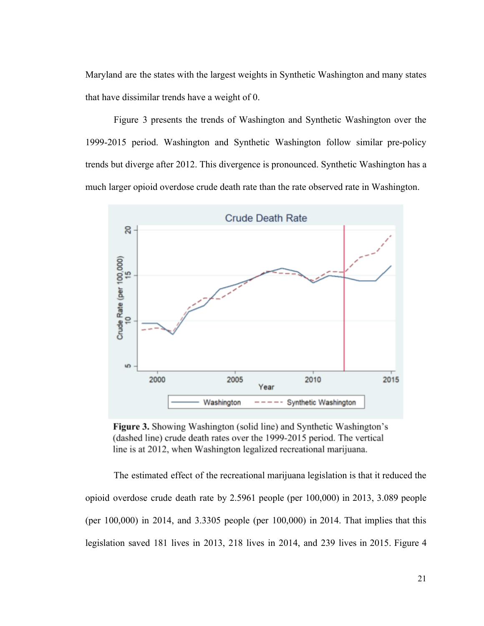Maryland are the states with the largest weights in Synthetic Washington and many states that have dissimilar trends have a weight of 0.

Figure 3 presents the trends of Washington and Synthetic Washington over the 1999-2015 period. Washington and Synthetic Washington follow similar pre-policy trends but diverge after 2012. This divergence is pronounced. Synthetic Washington has a much larger opioid overdose crude death rate than the rate observed rate in Washington.



Figure 3. Showing Washington (solid line) and Synthetic Washington's (dashed line) crude death rates over the 1999-2015 period. The vertical line is at 2012, when Washington legalized recreational marijuana.

The estimated effect of the recreational marijuana legislation is that it reduced the opioid overdose crude death rate by 2.5961 people (per 100,000) in 2013, 3.089 people (per 100,000) in 2014, and 3.3305 people (per 100,000) in 2014. That implies that this legislation saved 181 lives in 2013, 218 lives in 2014, and 239 lives in 2015. Figure 4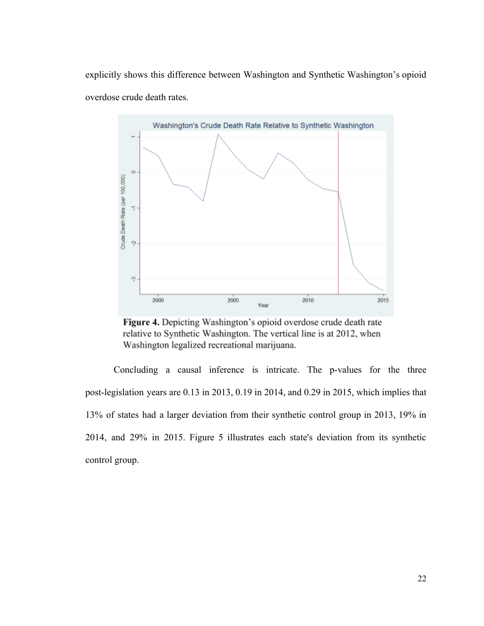explicitly shows this difference between Washington and Synthetic Washington's opioid overdose crude death rates.



Figure 4. Depicting Washington's opioid overdose crude death rate relative to Synthetic Washington. The vertical line is at 2012, when Washington legalized recreational marijuana.

Concluding a causal inference is intricate. The p-values for the three post-legislation years are 0.13 in 2013, 0.19 in 2014, and 0.29 in 2015, which implies that 13% of states had a larger deviation from their synthetic control group in 2013, 19% in 2014, and 29% in 2015. Figure 5 illustrates each state's deviation from its synthetic control group.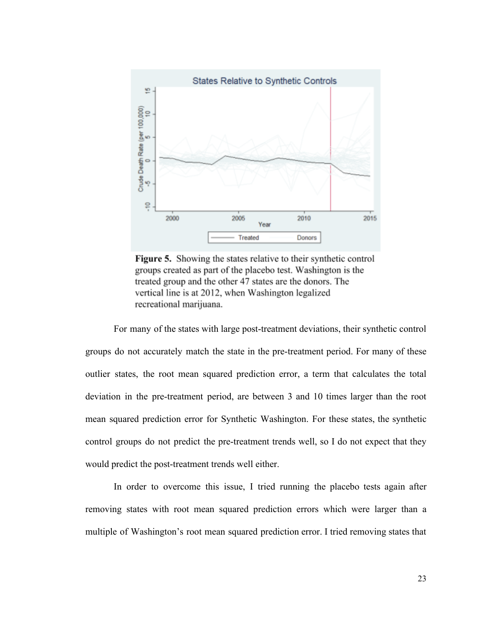

Figure 5. Showing the states relative to their synthetic control groups created as part of the placebo test. Washington is the treated group and the other 47 states are the donors. The vertical line is at 2012, when Washington legalized recreational marijuana.

For many of the states with large post-treatment deviations, their synthetic control groups do not accurately match the state in the pre-treatment period. For many of these outlier states, the root mean squared prediction error, a term that calculates the total deviation in the pre-treatment period, are between 3 and 10 times larger than the root mean squared prediction error for Synthetic Washington. For these states, the synthetic control groups do not predict the pre-treatment trends well, so I do not expect that they would predict the post-treatment trends well either.

In order to overcome this issue, I tried running the placebo tests again after removing states with root mean squared prediction errors which were larger than a multiple of Washington's root mean squared prediction error. I tried removing states that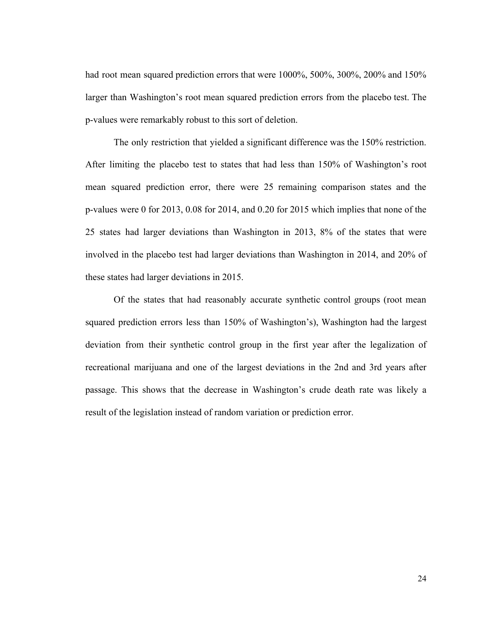had root mean squared prediction errors that were 1000%, 500%, 300%, 200% and 150% larger than Washington's root mean squared prediction errors from the placebo test. The p-values were remarkably robust to this sort of deletion.

The only restriction that yielded a significant difference was the 150% restriction. After limiting the placebo test to states that had less than 150% of Washington's root mean squared prediction error, there were 25 remaining comparison states and the p-values were 0 for 2013, 0.08 for 2014, and 0.20 for 2015 which implies that none of the 25 states had larger deviations than Washington in 2013, 8% of the states that were involved in the placebo test had larger deviations than Washington in 2014, and 20% of these states had larger deviations in 2015.

Of the states that had reasonably accurate synthetic control groups (root mean squared prediction errors less than 150% of Washington's), Washington had the largest deviation from their synthetic control group in the first year after the legalization of recreational marijuana and one of the largest deviations in the 2nd and 3rd years after passage. This shows that the decrease in Washington's crude death rate was likely a result of the legislation instead of random variation or prediction error.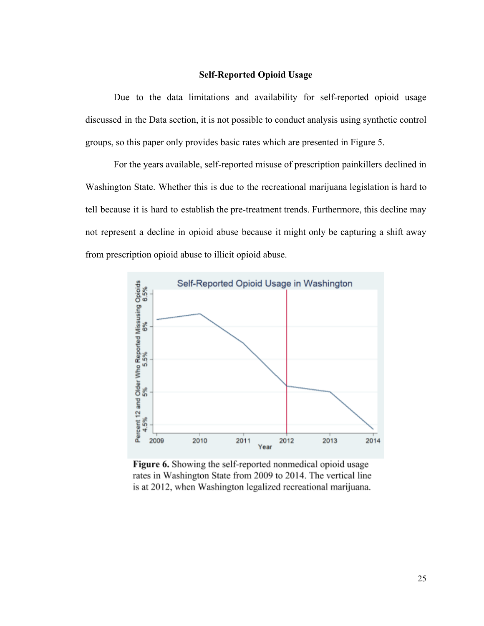#### **Self-Reported Opioid Usage**

<span id="page-26-0"></span>Due to the data limitations and availability for self-reported opioid usage discussed in the Data section, it is not possible to conduct analysis using synthetic control groups, so this paper only provides basic rates which are presented in Figure 5.

For the years available, self-reported misuse of prescription painkillers declined in Washington State. Whether this is due to the recreational marijuana legislation is hard to tell because it is hard to establish the pre-treatment trends. Furthermore, this decline may not represent a decline in opioid abuse because it might only be capturing a shift away from prescription opioid abuse to illicit opioid abuse.



Figure 6. Showing the self-reported nonmedical opioid usage rates in Washington State from 2009 to 2014. The vertical line is at 2012, when Washington legalized recreational marijuana.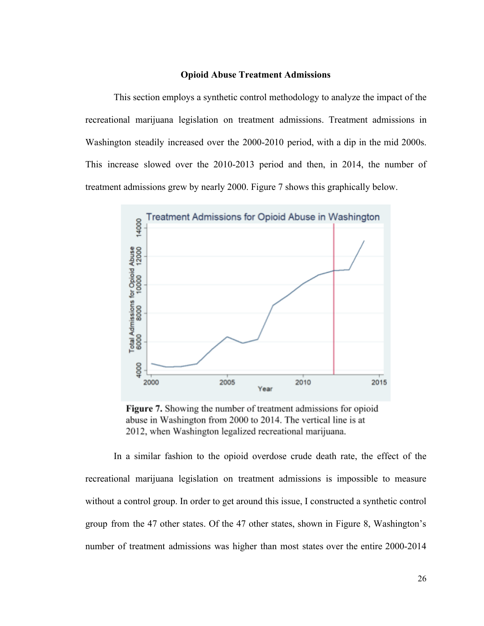#### **Opioid Abuse Treatment Admissions**

<span id="page-27-0"></span>This section employs a synthetic control methodology to analyze the impact of the recreational marijuana legislation on treatment admissions. Treatment admissions in Washington steadily increased over the 2000-2010 period, with a dip in the mid 2000s. This increase slowed over the 2010-2013 period and then, in 2014, the number of treatment admissions grew by nearly 2000. Figure 7 shows this graphically below.



Figure 7. Showing the number of treatment admissions for opioid abuse in Washington from 2000 to 2014. The vertical line is at 2012, when Washington legalized recreational marijuana.

In a similar fashion to the opioid overdose crude death rate, the effect of the recreational marijuana legislation on treatment admissions is impossible to measure without a control group. In order to get around this issue, I constructed a synthetic control group from the 47 other states. Of the 47 other states, shown in Figure 8, Washington's number of treatment admissions was higher than most states over the entire 2000-2014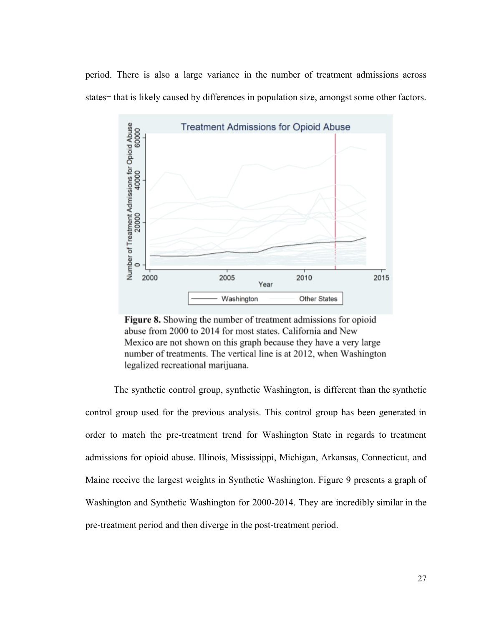period. There is also a large variance in the number of treatment admissions across states—that is likely caused by differences in population size, amongst some other factors.



Figure 8. Showing the number of treatment admissions for opioid abuse from 2000 to 2014 for most states. California and New Mexico are not shown on this graph because they have a very large number of treatments. The vertical line is at 2012, when Washington legalized recreational marijuana.

The synthetic control group, synthetic Washington, is different than the synthetic control group used for the previous analysis. This control group has been generated in order to match the pre-treatment trend for Washington State in regards to treatment admissions for opioid abuse. Illinois, Mississippi, Michigan, Arkansas, Connecticut, and Maine receive the largest weights in Synthetic Washington. Figure 9 presents a graph of Washington and Synthetic Washington for 2000-2014. They are incredibly similar in the pre-treatment period and then diverge in the post-treatment period.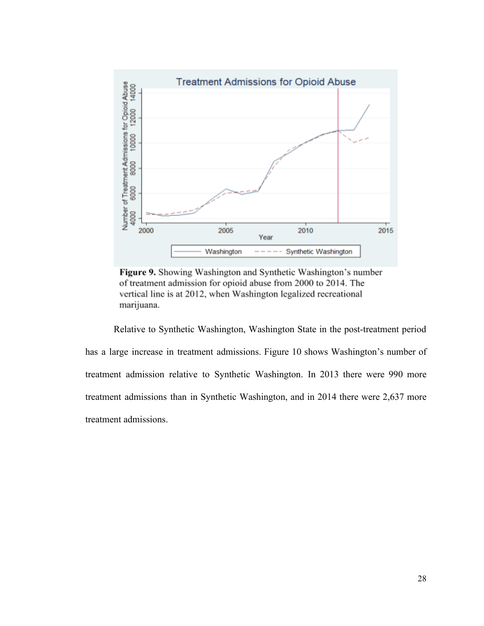

Figure 9. Showing Washington and Synthetic Washington's number of treatment admission for opioid abuse from 2000 to 2014. The vertical line is at 2012, when Washington legalized recreational marijuana.

Relative to Synthetic Washington, Washington State in the post-treatment period has a large increase in treatment admissions. Figure 10 shows Washington's number of treatment admission relative to Synthetic Washington. In 2013 there were 990 more treatment admissions than in Synthetic Washington, and in 2014 there were 2,637 more treatment admissions.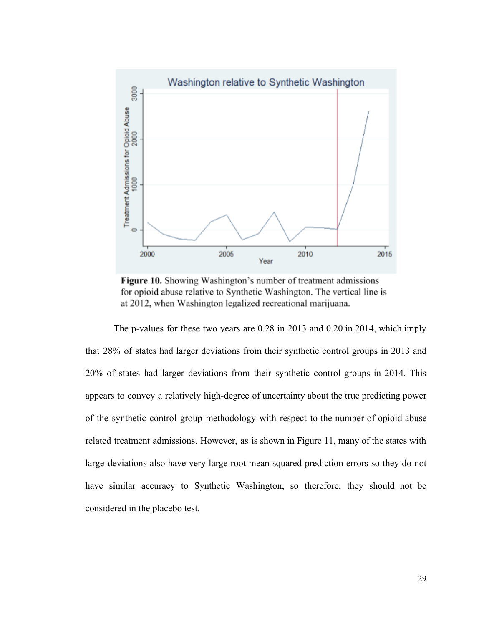

Figure 10. Showing Washington's number of treatment admissions for opioid abuse relative to Synthetic Washington. The vertical line is at 2012, when Washington legalized recreational marijuana.

The p-values for these two years are 0.28 in 2013 and 0.20 in 2014, which imply that 28% of states had larger deviations from their synthetic control groups in 2013 and 20% of states had larger deviations from their synthetic control groups in 2014. This appears to convey a relatively high-degree of uncertainty about the true predicting power of the synthetic control group methodology with respect to the number of opioid abuse related treatment admissions. However, as is shown in Figure 11, many of the states with large deviations also have very large root mean squared prediction errors so they do not have similar accuracy to Synthetic Washington, so therefore, they should not be considered in the placebo test.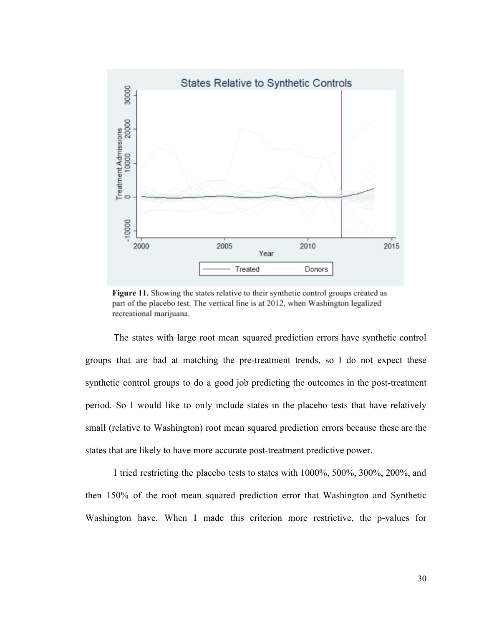

Figure 11. Showing the states relative to their synthetic control groups created as part of the placebo test. The vertical line is at 2012, when Washington legalized recreational marijuana.

The states with large root mean squared prediction errors have synthetic control groups that are bad at matching the pre-treatment trends, so I do not expect these synthetic control groups to do a good job predicting the outcomes in the post-treatment period. So I would like to only include states in the placebo tests that have relatively small (relative to Washington) root mean squared prediction errors because these are the states that are likely to have more accurate post-treatment predictive power.

I tried restricting the placebo tests to states with 1000%, 500%, 300%, 200%, and then 150% of the root mean squared prediction error that Washington and Synthetic Washington have. When I made this criterion more restrictive, the p-values for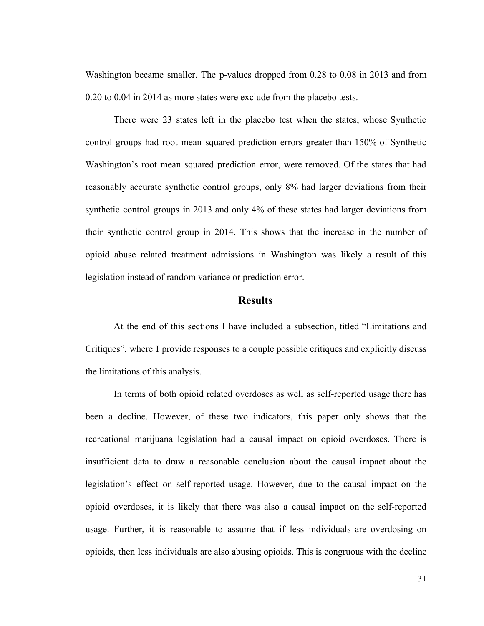Washington became smaller. The p-values dropped from 0.28 to 0.08 in 2013 and from 0.20 to 0.04 in 2014 as more states were exclude from the placebo tests.

There were 23 states left in the placebo test when the states, whose Synthetic control groups had root mean squared prediction errors greater than 150% of Synthetic Washington's root mean squared prediction error, were removed. Of the states that had reasonably accurate synthetic control groups, only 8% had larger deviations from their synthetic control groups in 2013 and only 4% of these states had larger deviations from their synthetic control group in 2014. This shows that the increase in the number of opioid abuse related treatment admissions in Washington was likely a result of this legislation instead of random variance or prediction error.

#### **Results**

<span id="page-32-0"></span>At the end of this sections I have included a subsection, titled "Limitations and Critiques", where I provide responses to a couple possible critiques and explicitly discuss the limitations of this analysis.

In terms of both opioid related overdoses as well as self-reported usage there has been a decline. However, of these two indicators, this paper only shows that the recreational marijuana legislation had a causal impact on opioid overdoses. There is insufficient data to draw a reasonable conclusion about the causal impact about the legislation's effect on self-reported usage. However, due to the causal impact on the opioid overdoses, it is likely that there was also a causal impact on the self-reported usage. Further, it is reasonable to assume that if less individuals are overdosing on opioids, then less individuals are also abusing opioids. This is congruous with the decline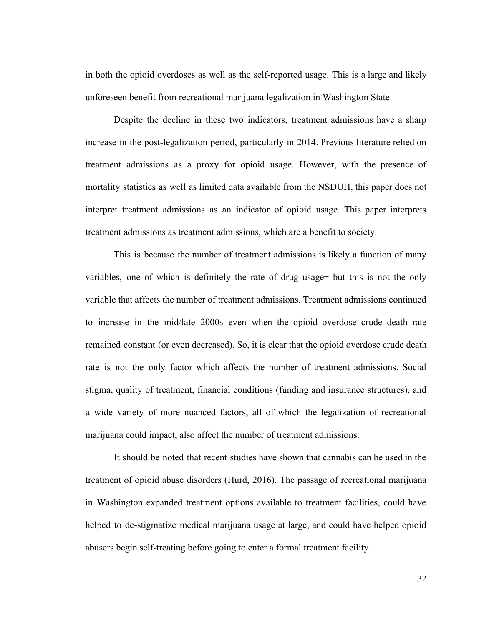in both the opioid overdoses as well as the self-reported usage. This is a large and likely unforeseen benefit from recreational marijuana legalization in Washington State.

Despite the decline in these two indicators, treatment admissions have a sharp increase in the post-legalization period, particularly in 2014. Previous literature relied on treatment admissions as a proxy for opioid usage. However, with the presence of mortality statistics as well as limited data available from the NSDUH, this paper does not interpret treatment admissions as an indicator of opioid usage. This paper interprets treatment admissions as treatment admissions, which are a benefit to society.

This is because the number of treatment admissions is likely a function of many variables, one of which is definitely the rate of drug usage but this is not the only variable that affects the number of treatment admissions. Treatment admissions continued to increase in the mid/late 2000s even when the opioid overdose crude death rate remained constant (or even decreased). So, it is clear that the opioid overdose crude death rate is not the only factor which affects the number of treatment admissions. Social stigma, quality of treatment, financial conditions (funding and insurance structures), and a wide variety of more nuanced factors, all of which the legalization of recreational marijuana could impact, also affect the number of treatment admissions.

It should be noted that recent studies have shown that cannabis can be used in the treatment of opioid abuse disorders (Hurd, 2016). The passage of recreational marijuana in Washington expanded treatment options available to treatment facilities, could have helped to de-stigmatize medical marijuana usage at large, and could have helped opioid abusers begin self-treating before going to enter a formal treatment facility.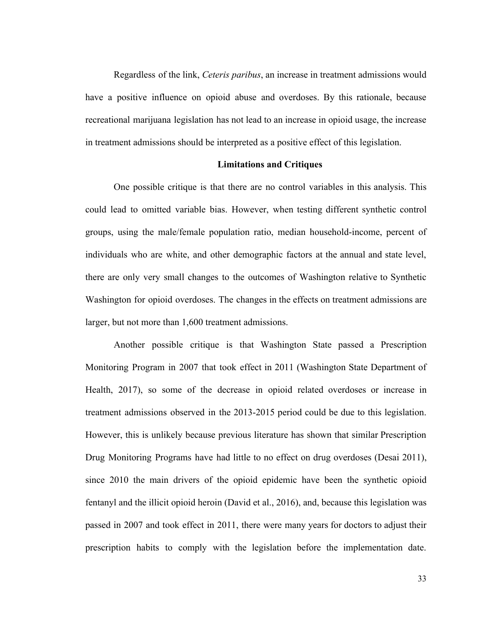Regardless of the link, *Ceteris paribus*, an increase in treatment admissions would have a positive influence on opioid abuse and overdoses. By this rationale, because recreational marijuana legislation has not lead to an increase in opioid usage, the increase in treatment admissions should be interpreted as a positive effect of this legislation.

#### **Limitations and Critiques**

<span id="page-34-0"></span>One possible critique is that there are no control variables in this analysis. This could lead to omitted variable bias. However, when testing different synthetic control groups, using the male/female population ratio, median household-income, percent of individuals who are white, and other demographic factors at the annual and state level, there are only very small changes to the outcomes of Washington relative to Synthetic Washington for opioid overdoses. The changes in the effects on treatment admissions are larger, but not more than 1,600 treatment admissions.

Another possible critique is that Washington State passed a Prescription Monitoring Program in 2007 that took effect in 2011 (Washington State Department of Health, 2017), so some of the decrease in opioid related overdoses or increase in treatment admissions observed in the 2013-2015 period could be due to this legislation. However, this is unlikely because previous literature has shown that similar Prescription Drug Monitoring Programs have had little to no effect on drug overdoses (Desai 2011), since 2010 the main drivers of the opioid epidemic have been the synthetic opioid fentanyl and the illicit opioid heroin (David et al., 2016), and, because this legislation was passed in 2007 and took effect in 2011, there were many years for doctors to adjust their prescription habits to comply with the legislation before the implementation date.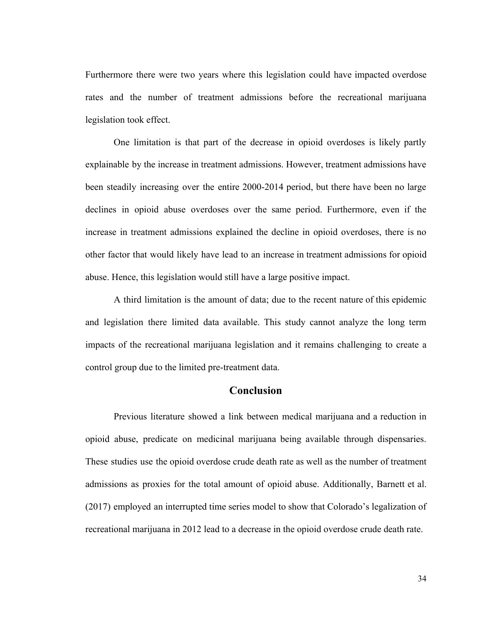Furthermore there were two years where this legislation could have impacted overdose rates and the number of treatment admissions before the recreational marijuana legislation took effect.

One limitation is that part of the decrease in opioid overdoses is likely partly explainable by the increase in treatment admissions. However, treatment admissions have been steadily increasing over the entire 2000-2014 period, but there have been no large declines in opioid abuse overdoses over the same period. Furthermore, even if the increase in treatment admissions explained the decline in opioid overdoses, there is no other factor that would likely have lead to an increase in treatment admissions for opioid abuse. Hence, this legislation would still have a large positive impact.

A third limitation is the amount of data; due to the recent nature of this epidemic and legislation there limited data available. This study cannot analyze the long term impacts of the recreational marijuana legislation and it remains challenging to create a control group due to the limited pre-treatment data.

#### **Conclusion**

<span id="page-35-0"></span>Previous literature showed a link between medical marijuana and a reduction in opioid abuse, predicate on medicinal marijuana being available through dispensaries. These studies use the opioid overdose crude death rate as well as the number of treatment admissions as proxies for the total amount of opioid abuse. Additionally, Barnett et al. (2017) employed an interrupted time series model to show that Colorado's legalization of recreational marijuana in 2012 lead to a decrease in the opioid overdose crude death rate.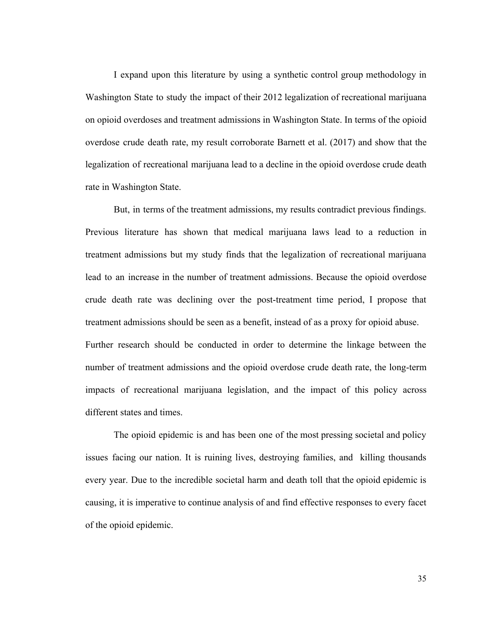I expand upon this literature by using a synthetic control group methodology in Washington State to study the impact of their 2012 legalization of recreational marijuana on opioid overdoses and treatment admissions in Washington State. In terms of the opioid overdose crude death rate, my result corroborate Barnett et al. (2017) and show that the legalization of recreational marijuana lead to a decline in the opioid overdose crude death rate in Washington State.

But, in terms of the treatment admissions, my results contradict previous findings. Previous literature has shown that medical marijuana laws lead to a reduction in treatment admissions but my study finds that the legalization of recreational marijuana lead to an increase in the number of treatment admissions. Because the opioid overdose crude death rate was declining over the post-treatment time period, I propose that treatment admissions should be seen as a benefit, instead of as a proxy for opioid abuse. Further research should be conducted in order to determine the linkage between the number of treatment admissions and the opioid overdose crude death rate, the long-term impacts of recreational marijuana legislation, and the impact of this policy across

different states and times.

The opioid epidemic is and has been one of the most pressing societal and policy issues facing our nation. It is ruining lives, destroying families, and killing thousands every year. Due to the incredible societal harm and death toll that the opioid epidemic is causing, it is imperative to continue analysis of and find effective responses to every facet of the opioid epidemic.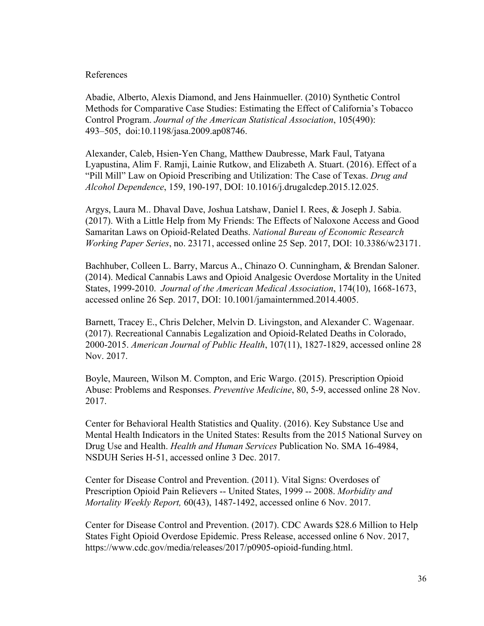#### <span id="page-37-0"></span>References

Abadie, Alberto, Alexis Diamond, and Jens Hainmueller. (2010) Synthetic Control Methods for Comparative Case Studies: Estimating the Effect of California's Tobacco Control Program. *Journal of the American Statistical Association*, 105(490): 493–505, doi:10.1198/jasa.2009.ap08746.

Alexander, Caleb, Hsien-Yen Chang, Matthew Daubresse, Mark Faul, Tatyana Lyapustina, Alim F. Ramji, Lainie Rutkow, and Elizabeth A. Stuart. (2016). Effect of a "Pill Mill" Law on Opioid Prescribing and Utilization: The Case of Texas. *Drug and Alcohol Dependence*, 159, 190-197, DOI: 10.1016/j.drugalcdep.2015.12.025.

Argys, Laura M.. Dhaval Dave, Joshua Latshaw, Daniel I. Rees, & Joseph J. Sabia. (2017). With a Little Help from My Friends: The Effects of Naloxone Access and Good Samaritan Laws on Opioid-Related Deaths. *National Bureau of Economic Research Working Paper Series*, no. 23171, accessed online 25 Sep. 2017, DOI: 10.3386/w23171.

Bachhuber, Colleen L. Barry, Marcus A., Chinazo O. Cunningham, & Brendan Saloner. (2014). Medical Cannabis Laws and Opioid Analgesic Overdose Mortality in the United States, 1999-2010. *Journal of the American Medical Association*, 174(10), 1668-1673, accessed online 26 Sep. 2017, DOI: 10.1001/jamainternmed.2014.4005.

Barnett, Tracey E., Chris Delcher, Melvin D. Livingston, and Alexander C. Wagenaar. (2017). Recreational Cannabis Legalization and Opioid-Related Deaths in Colorado, 2000-2015. *American Journal of Public Health*, 107(11), 1827-1829, accessed online 28 Nov. 2017.

Boyle, Maureen, Wilson M. Compton, and Eric Wargo. (2015). Prescription Opioid Abuse: Problems and Responses. *Preventive Medicine*, 80, 5-9, accessed online 28 Nov. 2017.

Center for Behavioral Health Statistics and Quality. (2016). Key Substance Use and Mental Health Indicators in the United States: Results from the 2015 National Survey on Drug Use and Health. *Health and Human Services* Publication No. SMA 16-4984, NSDUH Series H-51, accessed online 3 Dec. 2017.

Center for Disease Control and Prevention. (2011). Vital Signs: Overdoses of Prescription Opioid Pain Relievers -- United States, 1999 -- 2008. *Morbidity and Mortality Weekly Report,* 60(43), 1487-1492, accessed online 6 Nov. 2017.

Center for Disease Control and Prevention. (2017). CDC Awards \$28.6 Million to Help States Fight Opioid Overdose Epidemic. Press Release, accessed online 6 Nov. 2017, https://www.cdc.gov/media/releases/2017/p0905-opioid-funding.html.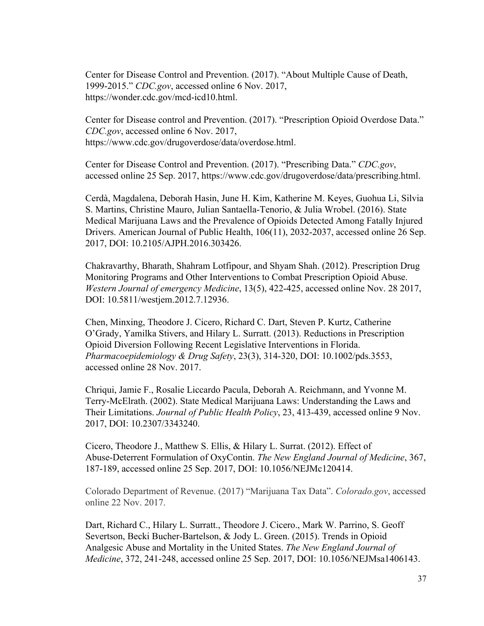Center for Disease Control and Prevention. (2017). "About Multiple Cause of Death, 1999-2015." *CDC.gov*, accessed online 6 Nov. 2017, https://wonder.cdc.gov/mcd-icd10.html.

Center for Disease control and Prevention. (2017). "Prescription Opioid Overdose Data." *CDC.gov*, accessed online 6 Nov. 2017, https://www.cdc.gov/drugoverdose/data/overdose.html.

Center for Disease Control and Prevention. (2017). "Prescribing Data." *CDC.gov*, accessed online 25 Sep. 2017, https://www.cdc.gov/drugoverdose/data/prescribing.html.

Cerdà, Magdalena, Deborah Hasin, June H. Kim, Katherine M. Keyes, Guohua Li, Silvia S. Martins, Christine Mauro, Julian Santaella-Tenorio, & Julia Wrobel. (2016). State Medical Marijuana Laws and the Prevalence of Opioids Detected Among Fatally Injured Drivers. American Journal of Public Health, 106(11), 2032-2037, accessed online 26 Sep. 2017, DOI: 10.2105/AJPH.2016.303426.

Chakravarthy, Bharath, Shahram Lotfipour, and Shyam Shah. (2012). Prescription Drug Monitoring Programs and Other Interventions to Combat Prescription Opioid Abuse. *Western Journal of emergency Medicine*, 13(5), 422-425, accessed online Nov. 28 2017, DOI: 10.5811/westjem.2012.7.12936.

Chen, Minxing, Theodore J. Cicero, Richard C. Dart, Steven P. Kurtz, Catherine O'Grady, Yamilka Stivers, and Hilary L. Surratt. (2013). Reductions in Prescription Opioid Diversion Following Recent Legislative Interventions in Florida. *Pharmacoepidemiology & Drug Safety*, 23(3), 314-320, DOI: 10.1002/pds.3553, accessed online 28 Nov. 2017.

Chriqui, Jamie F., Rosalie Liccardo Pacula, Deborah A. Reichmann, and Yvonne M. Terry-McElrath. (2002). State Medical Marijuana Laws: Understanding the Laws and Their Limitations. *Journal of Public Health Policy*, 23, 413-439, accessed online 9 Nov. 2017, DOI: 10.2307/3343240.

Cicero, Theodore J., Matthew S. Ellis, & Hilary L. Surrat. (2012). Effect of Abuse-Deterrent Formulation of OxyContin. *The New England Journal of Medicine*, 367, 187-189, accessed online 25 Sep. 2017, DOI: 10.1056/NEJMc120414.

Colorado Department of Revenue. (2017) "Marijuana Tax Data". *Colorado.gov*, accessed online 22 Nov. 2017.

Dart, Richard C., Hilary L. Surratt., Theodore J. Cicero., Mark W. Parrino, S. Geoff Severtson, Becki Bucher-Bartelson, & Jody L. Green. (2015). Trends in Opioid Analgesic Abuse and Mortality in the United States. *The New England Journal of Medicine*, 372, 241-248, accessed online 25 Sep. 2017, DOI: 10.1056/NEJMsa1406143.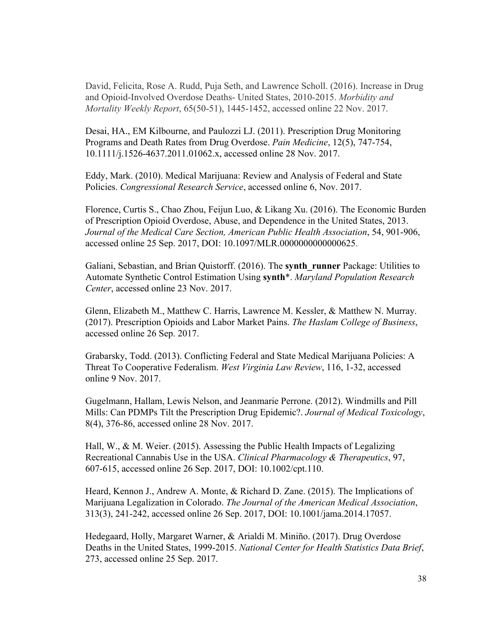David, Felicita, Rose A. Rudd, Puja Seth, and Lawrence Scholl. (2016). Increase in Drug and Opioid-Involved Overdose Deaths- United States, 2010-2015. *Morbidity and Mortality Weekly Report*, 65(50-51), 1445-1452, accessed online 22 Nov. 2017.

Desai, HA., EM Kilbourne, and Paulozzi LJ. (2011). Prescription Drug Monitoring Programs and Death Rates from Drug Overdose. *Pain Medicine*, 12(5), 747-754, 10.1111/j.1526-4637.2011.01062.x, accessed online 28 Nov. 2017.

Eddy, Mark. (2010). Medical Marijuana: Review and Analysis of Federal and State Policies. *Congressional Research Service*, accessed online 6, Nov. 2017.

Florence, Curtis S., Chao Zhou, Feijun Luo, & Likang Xu. (2016). The Economic Burden of Prescription Opioid Overdose, Abuse, and Dependence in the United States, 2013. *Journal of the Medical Care Section, American Public Health Association*, 54, 901-906, accessed online 25 Sep. 2017, DOI: 10.1097/MLR.0000000000000625.

Galiani, Sebastian, and Brian Quistorff. (2016). The **synth\_runner** Package: Utilities to Automate Synthetic Control Estimation Using **synth**\*. *Maryland Population Research Center*, accessed online 23 Nov. 2017.

Glenn, Elizabeth M., Matthew C. Harris, Lawrence M. Kessler, & Matthew N. Murray. (2017). Prescription Opioids and Labor Market Pains. *The Haslam College of Business*, accessed online 26 Sep. 2017.

Grabarsky, Todd. (2013). Conflicting Federal and State Medical Marijuana Policies: A Threat To Cooperative Federalism. *West Virginia Law Review*, 116, 1-32, accessed online 9 Nov. 2017.

Gugelmann, Hallam, Lewis Nelson, and Jeanmarie Perrone. (2012). Windmills and Pill Mills: Can PDMPs Tilt the Prescription Drug Epidemic?. *Journal of Medical Toxicology*, 8(4), 376-86, accessed online 28 Nov. 2017.

Hall, W., & M. Weier. (2015). Assessing the Public Health Impacts of Legalizing Recreational Cannabis Use in the USA. *Clinical Pharmacology & Therapeutics*, 97, 607-615, accessed online 26 Sep. 2017, DOI: 10.1002/cpt.110.

Heard, Kennon J., Andrew A. Monte, & Richard D. Zane. (2015). The Implications of Marijuana Legalization in Colorado. *The Journal of the American Medical Association*, 313(3), 241-242, accessed online 26 Sep. 2017, DOI: 10.1001/jama.2014.17057.

Hedegaard, Holly, Margaret Warner, & Arialdi M. Miniño. (2017). Drug Overdose Deaths in the United States, 1999-2015. *National Center for Health Statistics Data Brief*, 273, accessed online 25 Sep. 2017.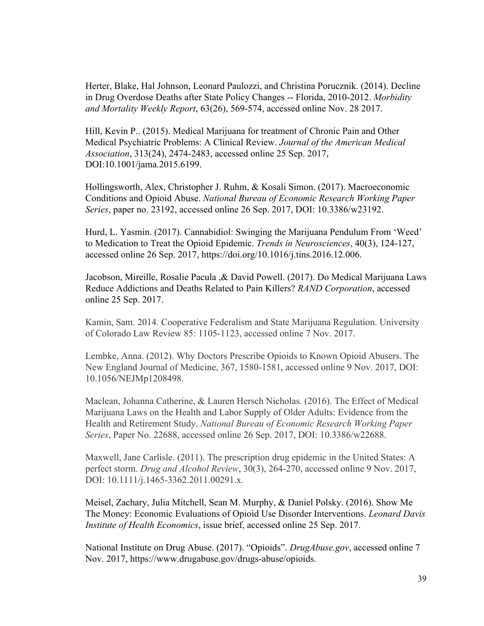Herter, Blake, Hal Johnson, Leonard Paulozzi, and Christina Porucznik. (2014). Decline in Drug Overdose Deaths after State Policy Changes -- Florida, 2010-2012. *Morbidity and Mortality Weekly Report*, 63(26), 569-574, accessed online Nov. 28 2017.

Hill, Kevin P.. (2015). Medical Marijuana for treatment of Chronic Pain and Other Medical Psychiatric Problems: A Clinical Review. *Journal of the American Medical Association*, 313(24), 2474-2483, accessed online 25 Sep. 2017, DOI:10.1001/jama.2015.6199.

Hollingsworth, Alex, Christopher J. Ruhm, & Kosali Simon. (2017). Macroeconomic Conditions and Opioid Abuse. *National Bureau of Economic Research Working Paper Series*, paper no. 23192, accessed online 26 Sep. 2017, DOI: 10.3386/w23192.

Hurd, L. Yasmin. (2017). Cannabidiol: Swinging the Marijuana Pendulum From 'Weed' to Medication to Treat the Opioid Epidemic. *Trends in Neurosciences*, 40(3), 124-127, accessed online 26 Sep. 2017, https://doi.org/10.1016/j.tins.2016.12.006.

Jacobson, Mireille, Rosalie Pacula ,& David Powell. (2017). Do Medical Marijuana Laws Reduce Addictions and Deaths Related to Pain Killers? *RAND Corporation*, accessed online 25 Sep. 2017.

Kamin, Sam. 2014. Cooperative Federalism and State Marijuana Regulation. University of Colorado Law Review 85: 1105-1123, accessed online 7 Nov. 2017.

Lembke, Anna. (2012). Why Doctors Prescribe Opioids to Known Opioid Abusers. The New England Journal of Medicine, 367, 1580-1581, accessed online 9 Nov. 2017, DOI: 10.1056/NEJMp1208498.

Maclean, Johanna Catherine, & Lauren Hersch Nicholas. (2016). The Effect of Medical Marijuana Laws on the Health and Labor Supply of Older Adults: Evidence from the Health and Retirement Study. *National Bureau of Economic Research Working Paper Series*, Paper No. 22688, accessed online 26 Sep. 2017, DOI: 10.3386/w22688.

Maxwell, Jane Carlisle. (2011). The prescription drug epidemic in the United States: A perfect storm. *Drug and Alcohol Review*, 30(3), 264-270, accessed online 9 Nov. 2017, DOI: 10.1111/j.1465-3362.2011.00291.x.

Meisel, Zachary, Julia Mitchell, Sean M. Murphy, & Daniel Polsky. (2016). Show Me The Money: Economic Evaluations of Opioid Use Disorder Interventions. *Leonard Davis Institute of Health Economics*, issue brief, accessed online 25 Sep. 2017.

National Institute on Drug Abuse. (2017). "Opioids". *DrugAbuse.gov*, accessed online 7 Nov. 2017, [https://www.drugabuse.gov/drugs-abuse/opioids.](https://www.drugabuse.gov/drugs-abuse/opioids)